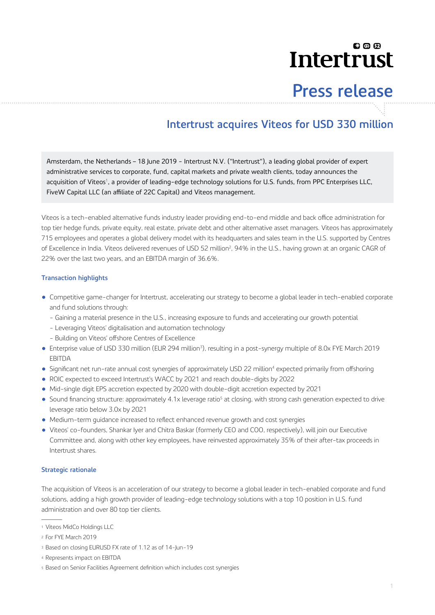# லை Intertrust

# **Press release**

# **Intertrust acquires Viteos for USD 330 million**

Amsterdam, the Netherlands – 18 June 2019 - Intertrust N.V. ("Intertrust"), a leading global provider of expert administrative services to corporate, fund, capital markets and private wealth clients, today announces the acquisition of Viteos<sup>1</sup>, a provider of leading-edge technology solutions for U.S. funds, from PPC Enterprises LLC, FiveW Capital LLC (an affiliate of 22C Capital) and Viteos management.

Viteos is a tech-enabled alternative funds industry leader providing end-to-end middle and back office administration for top tier hedge funds, private equity, real estate, private debt and other alternative asset managers. Viteos has approximately 715 employees and operates a global delivery model with its headquarters and sales team in the U.S. supported by Centres of Excellence in India. Viteos delivered revenues of USD 52 million<sup>2</sup>, 94% in the U.S., having grown at an organic CAGR of 22% over the last two years, and an EBITDA margin of 36.6%.

### **Transaction highlights**

- Competitive game-changer for Intertrust, accelerating our strategy to become a global leader in tech-enabled corporate and fund solutions through:
	- Gaining a material presence in the U.S., increasing exposure to funds and accelerating our growth potential
	- Leveraging Viteos' digitalisation and automation technology
	- Building on Viteos' offshore Centres of Excellence
- Enterprise value of USD 330 million (EUR 294 million<sup>3</sup>), resulting in a post-synergy multiple of 8.0x FYE March 2019 EBITDA
- Significant net run-rate annual cost synergies of approximately USD 22 million<sup>4</sup> expected primarily from offshoring
- ROIC expected to exceed Intertrust's WACC by 2021 and reach double-digits by 2022
- Mid-single digit EPS accretion expected by 2020 with double-digit accretion expected by 2021
- Sound financing structure: approximately 4.1x leverage ratio<sup>5</sup> at closing, with strong cash generation expected to drive leverage ratio below 3.0x by 2021
- Medium-term guidance increased to reflect enhanced revenue growth and cost synergies
- Viteos' co-founders, Shankar Iyer and Chitra Baskar (formerly CEO and COO, respectively), will join our Executive Committee and, along with other key employees, have reinvested approximately 35% of their after-tax proceeds in Intertrust shares.

## **Strategic rationale**

The acquisition of Viteos is an acceleration of our strategy to become a global leader in tech-enabled corporate and fund solutions, adding a high growth provider of leading-edge technology solutions with a top 10 position in U.S. fund administration and over 80 top tier clients.

<sup>1</sup> Viteos MidCo Holdings LLC

<sup>2</sup> For FYE March 2019

<sup>3</sup> Based on closing EURUSD FX rate of 1.12 as of 14-Jun-19

<sup>4</sup> Represents impact on EBITDA

<sup>5</sup> Based on Senior Facilities Agreement definition which includes cost synergies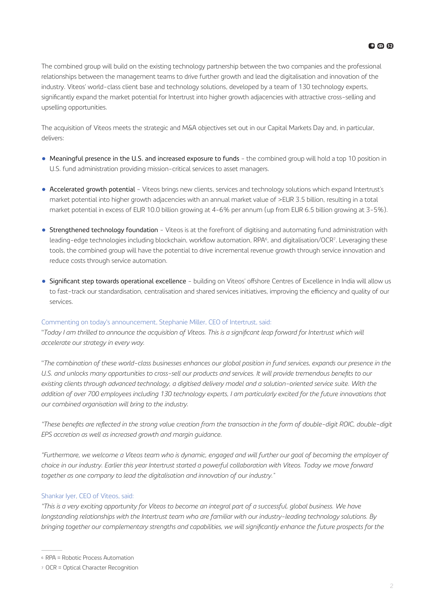The combined group will build on the existing technology partnership between the two companies and the professional relationships between the management teams to drive further growth and lead the digitalisation and innovation of the industry. Viteos' world-class client base and technology solutions, developed by a team of 130 technology experts, significantly expand the market potential for Intertrust into higher growth adjacencies with attractive cross-selling and upselling opportunities.

The acquisition of Viteos meets the strategic and M&A objectives set out in our Capital Markets Day and, in particular, delivers:

- Meaningful presence in the U.S. and increased exposure to funds the combined group will hold a top 10 position in U.S. fund administration providing mission-critical services to asset managers.
- Accelerated growth potential Viteos brings new clients, services and technology solutions which expand Intertrust's market potential into higher growth adjacencies with an annual market value of >EUR 3.5 billion, resulting in a total market potential in excess of EUR 10.0 billion growing at 4-6% per annum (up from EUR 6.5 billion growing at 3-5%).
- Strengthened technology foundation Viteos is at the forefront of digitising and automating fund administration with leading-edge technologies including blockchain, workflow automation, RPA<sup>6</sup> , and digitalisation/OCR<sup>7</sup> . Leveraging these tools, the combined group will have the potential to drive incremental revenue growth through service innovation and reduce costs through service automation.
- Significant step towards operational excellence building on Viteos' offshore Centres of Excellence in India will allow us to fast-track our standardisation, centralisation and shared services initiatives, improving the efficiency and quality of our services.

### Commenting on today's announcement, Stephanie Miller, CEO of Intertrust, said:

"Today I am thrilled to announce the acquisition of Viteos. This is a significant leap forward for Intertrust which will *accelerate our strategy in every way.*

"*The combination of these world-class businesses enhances our global position in fund services, expands our presence in the* U.S. and unlocks many opportunities to cross-sell our products and services. It will provide tremendous benefits to our *existing clients through advanced technology, a digitised delivery model and a solution-oriented service suite. With the addition of over 700 employees including 130 technology experts, I am particularly excited for the future innovations that our combined organisation will bring to the industry.*

*"These benefits are reflected in the strong value creation from the transaction in the form of double-digit ROIC, double-digit EPS accretion as well as increased growth and margin guidance.*

*"Furthermore, we welcome a Viteos team who is dynamic, engaged and will further our goal of becoming the employer of choice in our industry. Earlier this year Intertrust started a powerful collaboration with Viteos. Today we move forward together as one company to lead the digitalisation and innovation of our industry."*

#### Shankar Iyer, CEO of Viteos, said:

*"This is a very exciting opportunity for Viteos to become an integral part of a successful, global business. We have longstanding relationships with the Intertrust team who are familiar with our industry-leading technology solutions. By bringing together our complementary strengths and capabilities, we will significantly enhance the future prospects for the* 

<sup>6</sup> RPA = Robotic Process Automation

<sup>7</sup> OCR = Optical Character Recognition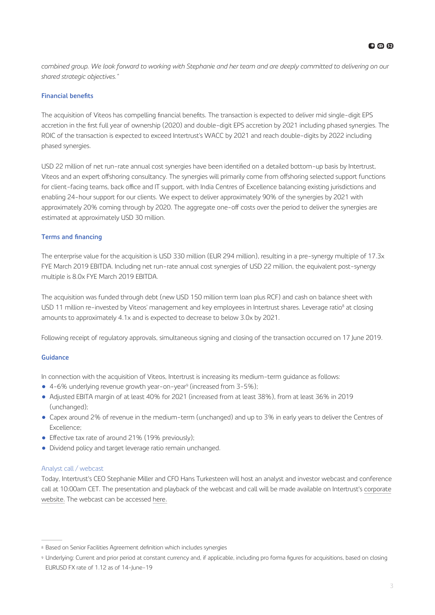*combined group. We look forward to working with Stephanie and her team and are deeply committed to delivering on our shared strategic objectives."*

### **Financial benefits**

The acquisition of Viteos has compelling financial benefits. The transaction is expected to deliver mid single-digit EPS accretion in the first full year of ownership (2020) and double-digit EPS accretion by 2021 including phased synergies. The ROIC of the transaction is expected to exceed Intertrust's WACC by 2021 and reach double-digits by 2022 including phased synergies.

USD 22 million of net run-rate annual cost synergies have been identified on a detailed bottom-up basis by Intertrust, Viteos and an expert offshoring consultancy. The synergies will primarily come from offshoring selected support functions for client-facing teams, back office and IT support, with India Centres of Excellence balancing existing jurisdictions and enabling 24-hour support for our clients. We expect to deliver approximately 90% of the synergies by 2021 with approximately 20% coming through by 2020. The aggregate one-off costs over the period to deliver the synergies are estimated at approximately USD 30 million.

### **Terms and financing**

The enterprise value for the acquisition is USD 330 million (EUR 294 million), resulting in a pre-synergy multiple of 17.3x FYE March 2019 EBITDA. Including net run-rate annual cost synergies of USD 22 million, the equivalent post-synergy multiple is 8.0x FYE March 2019 EBITDA.

The acquisition was funded through debt (new USD 150 million term loan plus RCF) and cash on balance sheet with USD 11 million re-invested by Viteos' management and key employees in Intertrust shares. Leverage ratio<sup>8</sup> at closing amounts to approximately 4.1x and is expected to decrease to below 3.0x by 2021.

Following receipt of regulatory approvals, simultaneous signing and closing of the transaction occurred on 17 June 2019.

### **Guidance**

In connection with the acquisition of Viteos, Intertrust is increasing its medium-term guidance as follows:

- 4-6% underlying revenue growth year-on-year<sup>9</sup> (increased from 3-5%);
- Adjusted EBITA margin of at least 40% for 2021 (increased from at least 38%), from at least 36% in 2019 (unchanged);
- Capex around 2% of revenue in the medium-term (unchanged) and up to 3% in early years to deliver the Centres of Excellence;
- Effective tax rate of around 21% (19% previously);
- Dividend policy and target leverage ratio remain unchanged.

### Analyst call / webcast

Today, Intertrust's CEO Stephanie Miller and CFO Hans Turkesteen will host an analyst and investor webcast and conference call at 10:00am CET. The presentation and playback of the webcast and call will be made available on Intertrust's [corporate](https://www.intertrustgroup.com/investors) [website.](https://www.intertrustgroup.com/investors) The webcast can be accessed [here.](https://channel.royalcast.com/webcast/intertrustgroupinvestors/20190618_1/)

<sup>8</sup> Based on Senior Facilities Agreement definition which includes synergies

<sup>9</sup> Underlying: Current and prior period at constant currency and, if applicable, including pro forma figures for acquisitions, based on closing EURUSD FX rate of 1.12 as of 14-June-19